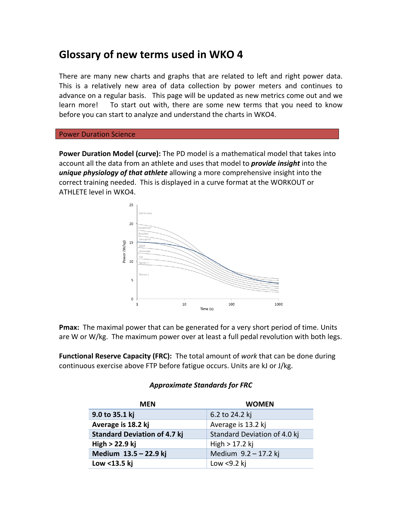# **Glossary of new terms used in WKO 4**

There are many new charts and graphs that are related to left and right power data. This is a relatively new area of data collection by power meters and continues to advance on a regular basis. This page will be updated as new metrics come out and we learn more! To start out with, there are some new terms that you need to know before you can start to analyze and understand the charts in WKO4.

### **Power Duration Science**

**Power Duration Model (curve):** The PD model is a mathematical model that takes into account all the data from an athlete and uses that model to *provide insight* into the *unique physiology of that athlete* allowing a more comprehensive insight into the correct training needed. This is displayed in a curve format at the WORKOUT or ATHLETE level in WKO4.



**Pmax:** The maximal power that can be generated for a very short period of time. Units are W or  $W/kg$ . The maximum power over at least a full pedal revolution with both legs.

**Functional Reserve Capacity (FRC):** The total amount of work that can be done during continuous exercise above FTP before fatigue occurs. Units are kJ or J/kg.

### *Approximate Standards for FRC*

| <b>MEN</b>                          | <b>WOMEN</b>                 |  |
|-------------------------------------|------------------------------|--|
| 9.0 to 35.1 kj                      | 6.2 to 24.2 kj               |  |
| Average is 18.2 kj                  | Average is 13.2 kj           |  |
| <b>Standard Deviation of 4.7 kj</b> | Standard Deviation of 4.0 kj |  |
| $High > 22.9$ kj                    | $High > 17.2$ kj             |  |
| Medium 13.5 - 22.9 kj               | Medium 9.2 - 17.2 kj         |  |
| Low <13.5 kj                        | Low $<$ 9.2 kj               |  |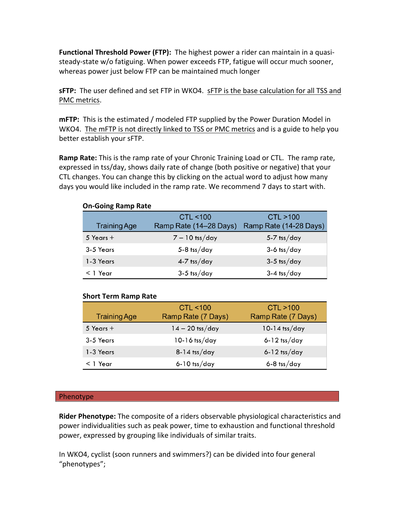**Functional Threshold Power (FTP):** The highest power a rider can maintain in a quasisteady-state w/o fatiguing. When power exceeds FTP, fatigue will occur much sooner, whereas power just below FTP can be maintained much longer

**sFTP:** The user defined and set FTP in WKO4. sFTP is the base calculation for all TSS and PMC metrics.

**mFTP:** This is the estimated / modeled FTP supplied by the Power Duration Model in WKO4. The mFTP is not directly linked to TSS or PMC metrics and is a guide to help you better establish your sFTP.

**Ramp** Rate: This is the ramp rate of your Chronic Training Load or CTL. The ramp rate, expressed in tss/day, shows daily rate of change (both positive or negative) that your CTL changes. You can change this by clicking on the actual word to adjust how many days you would like included in the ramp rate. We recommend 7 days to start with.

| UII-QUIIIX NAIIID NALE |                        |                        |
|------------------------|------------------------|------------------------|
|                        | CTL < 100              | CTL > 100              |
| <b>Training Age</b>    | Ramp Rate (14–28 Days) | Ramp Rate (14-28 Days) |
| 5 Years $+$            | $7 - 10$ tss/day       | $5-7$ tss/day          |
| 3-5 Years              | $5-8$ tss/day          | $3-6$ tss/day          |
| 1-3 Years              | $4-7$ tss/day          | $3-5$ tss/day          |
| $<$ 1 Year             | $3-5$ tss/day          | $3-4$ tss/day          |

## **Short Term Ramp Rate**

**On-Going Ramp Rate**

| <b>Training Age</b> | CTL < 100<br>Ramp Rate (7 Days) | CTL > 100<br>Ramp Rate (7 Days) |
|---------------------|---------------------------------|---------------------------------|
| $5$ Years $+$       | $14 - 20$ tss/day               | $10-14$ tss/day                 |
| 3-5 Years           | $10-16$ tss/day                 | $6 - 12$ tss/day                |
| 1-3 Years           | $8-14$ tss/day                  | $6 - 12$ tss/day                |
| $<$ 1 Year          | $6-10$ tss/day                  | $6 - 8$ tss/day                 |

### Phenotype

**Rider Phenotype:** The composite of a riders observable physiological characteristics and power individualities such as peak power, time to exhaustion and functional threshold power, expressed by grouping like individuals of similar traits.

In WKO4, cyclist (soon runners and swimmers?) can be divided into four general "phenotypes";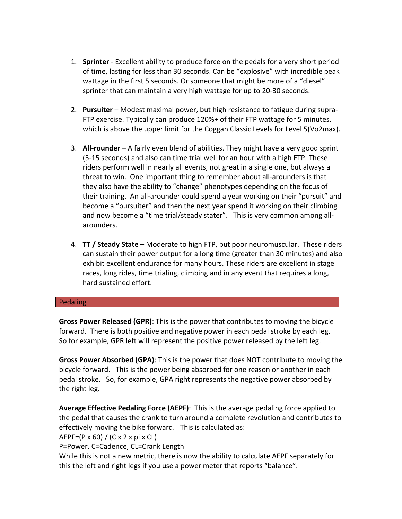- 1. **Sprinter** Excellent ability to produce force on the pedals for a very short period of time, lasting for less than 30 seconds. Can be "explosive" with incredible peak wattage in the first 5 seconds. Or someone that might be more of a "diesel" sprinter that can maintain a very high wattage for up to 20-30 seconds.
- 2. Pursuiter Modest maximal power, but high resistance to fatigue during supra-FTP exercise. Typically can produce 120%+ of their FTP wattage for 5 minutes, which is above the upper limit for the Coggan Classic Levels for Level  $5(Vo2max)$ .
- 3. All-rounder A fairly even blend of abilities. They might have a very good sprint (5-15 seconds) and also can time trial well for an hour with a high FTP. These riders perform well in nearly all events, not great in a single one, but always a threat to win. One important thing to remember about all-arounders is that they also have the ability to "change" phenotypes depending on the focus of their training. An all-arounder could spend a year working on their "pursuit" and become a "pursuiter" and then the next year spend it working on their climbing and now become a "time trial/steady stater". This is very common among allarounders.
- 4. **TT / Steady State** Moderate to high FTP, but poor neuromuscular. These riders can sustain their power output for a long time (greater than 30 minutes) and also exhibit excellent endurance for many hours. These riders are excellent in stage races, long rides, time trialing, climbing and in any event that requires a long, hard sustained effort.

### Pedaling

**Gross Power Released (GPR)**: This is the power that contributes to moving the bicycle forward. There is both positive and negative power in each pedal stroke by each leg. So for example, GPR left will represent the positive power released by the left leg.

Gross Power Absorbed (GPA): This is the power that does NOT contribute to moving the bicycle forward. This is the power being absorbed for one reason or another in each pedal stroke. So, for example, GPA right represents the negative power absorbed by the right leg.

**Average Effective Pedaling Force (AEPF)**: This is the average pedaling force applied to the pedal that causes the crank to turn around a complete revolution and contributes to effectively moving the bike forward. This is calculated as:  $AEPF=(P \times 60) / (C \times 2 \times pi \times CL)$ 

P=Power, C=Cadence, CL=Crank Length

While this is not a new metric, there is now the ability to calculate AEPF separately for this the left and right legs if you use a power meter that reports "balance".